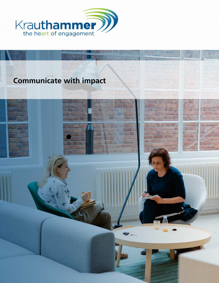# Communicate with impact

### Communicate with impact 1

[https://www.krauthammer.com/programs/comm](https://www.krauthammer.com/programs/communicate-with-impact/#inspiring-locations)unicate-with-impact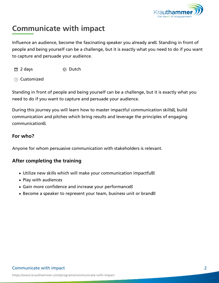## Communicate with impact

Influence an audience, become the fascinating speaker you already people and being yourself can be a challenge, but it is exactly wha to capture and persuade your audience.

2 days Dutch

Customized

Standing in front of people and being yourself can be a challenge, need to do if you want to capture and persuade your audience.

During this journey you will learn how to master impactful communi communication and pitches which bring results and leverage the pri communication .

For who?

Anyone for whom persuasive communication with stakeholders is re

After completing the training

- Utilize new skills which will make your communication impactful
- Play with audiences
- Gain more confidence and increase your performance
- Become a speaker to represent your team, business unit or bran

#### Communicate with impact 2

[https://www.krauthammer.com/programs/comm](https://www.krauthammer.com/programs/communicate-with-impact/#inspiring-locations)unicate-with-impact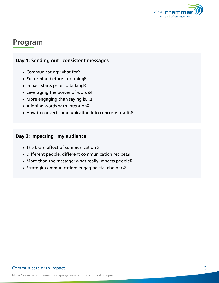## Program

### Day 1: Sending out consistent messages

- Communicating: what for?
- Ex-forming before informing
- Impact starts prior to talking
- Leveraging the power of words
- More engaging than saying is &
- Aligning words with intention
- How to convert communication into concrete results

### Day 2: Impacting my audience

- The brain effect of communication
- Different people, different communication recipes
- More than the message: what really impacts people
- Strategic communication: engaging stakeholders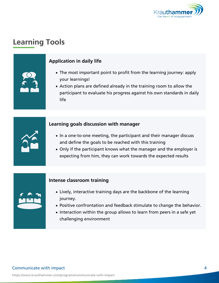# Learning Tools

### Application in daily life

- . The most important point to profit from the learning your learnings!
- Action plans are defined already in the training roo participant to evaluate his progress against his own life

Learning goals discussion with manager

- . In a one-to-one meeting, the participant and their m and define the goals to be reached with this training
- Only if the participant knows what the manager and expecting from him, they can work towards the expe

Intense classroom training

- Lively, interactive training days are the backbone o journey.
- Positive confrontation and feedback stimulate to ch
- $\bullet$  Interaction within the group allows to learn from pe challenging environment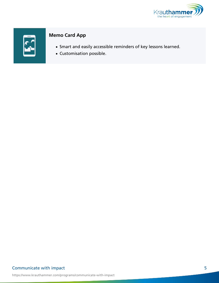### Memo Card App

- Smart and easily accessible reminders of key lesson
- Customisation possible.